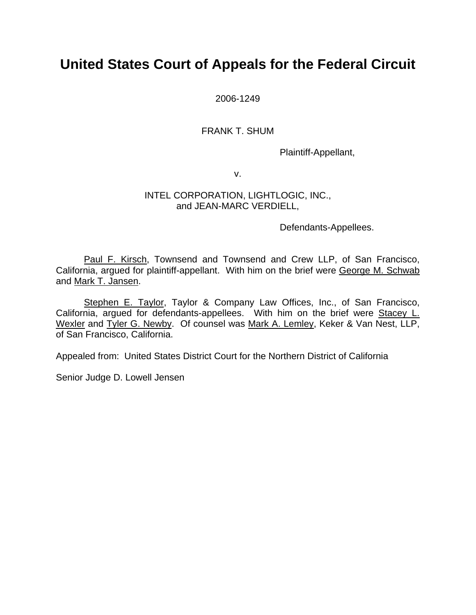# **United States Court of Appeals for the Federal Circuit**

2006-1249

FRANK T. SHUM

Plaintiff-Appellant,

v.

### INTEL CORPORATION, LIGHTLOGIC, INC., and JEAN-MARC VERDIELL,

Defendants-Appellees.

Paul F. Kirsch, Townsend and Townsend and Crew LLP, of San Francisco, California, argued for plaintiff-appellant. With him on the brief were George M. Schwab and Mark T. Jansen.

Stephen E. Taylor, Taylor & Company Law Offices, Inc., of San Francisco, California, argued for defendants-appellees. With him on the brief were Stacey L. Wexler and Tyler G. Newby. Of counsel was Mark A. Lemley, Keker & Van Nest, LLP, of San Francisco, California.

Appealed from: United States District Court for the Northern District of California

Senior Judge D. Lowell Jensen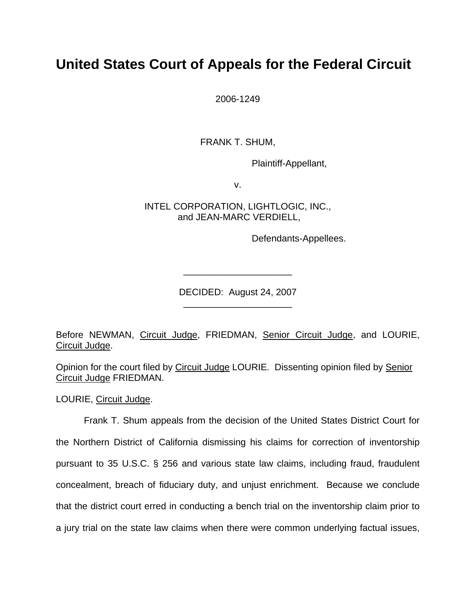# **United States Court of Appeals for the Federal Circuit**

2006-1249

FRANK T. SHUM,

Plaintiff-Appellant,

v.

INTEL CORPORATION, LIGHTLOGIC, INC., and JEAN-MARC VERDIELL,

Defendants-Appellees.

DECIDED: August 24, 2007 \_\_\_\_\_\_\_\_\_\_\_\_\_\_\_\_\_\_\_\_\_

\_\_\_\_\_\_\_\_\_\_\_\_\_\_\_\_\_\_\_\_\_

Before NEWMAN, Circuit Judge, FRIEDMAN, Senior Circuit Judge, and LOURIE, Circuit Judge.

Opinion for the court filed by Circuit Judge LOURIE. Dissenting opinion filed by Senior Circuit Judge FRIEDMAN.

LOURIE, Circuit Judge.

Frank T. Shum appeals from the decision of the United States District Court for the Northern District of California dismissing his claims for correction of inventorship pursuant to 35 U.S.C. § 256 and various state law claims, including fraud, fraudulent concealment, breach of fiduciary duty, and unjust enrichment. Because we conclude that the district court erred in conducting a bench trial on the inventorship claim prior to a jury trial on the state law claims when there were common underlying factual issues,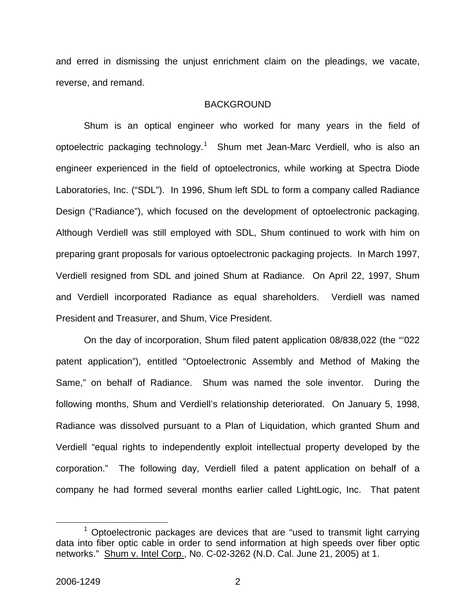and erred in dismissing the unjust enrichment claim on the pleadings, we vacate, reverse, and remand.

### **BACKGROUND**

Shum is an optical engineer who worked for many years in the field of optoelectric packaging technology.<sup>[1](#page-2-0)</sup> Shum met Jean-Marc Verdiell, who is also an engineer experienced in the field of optoelectronics, while working at Spectra Diode Laboratories, Inc. ("SDL"). In 1996, Shum left SDL to form a company called Radiance Design ("Radiance"), which focused on the development of optoelectronic packaging. Although Verdiell was still employed with SDL, Shum continued to work with him on preparing grant proposals for various optoelectronic packaging projects. In March 1997, Verdiell resigned from SDL and joined Shum at Radiance. On April 22, 1997, Shum and Verdiell incorporated Radiance as equal shareholders. Verdiell was named President and Treasurer, and Shum, Vice President.

On the day of incorporation, Shum filed patent application 08/838,022 (the "'022 patent application"), entitled "Optoelectronic Assembly and Method of Making the Same," on behalf of Radiance. Shum was named the sole inventor. During the following months, Shum and Verdiell's relationship deteriorated. On January 5, 1998, Radiance was dissolved pursuant to a Plan of Liquidation, which granted Shum and Verdiell "equal rights to independently exploit intellectual property developed by the corporation." The following day, Verdiell filed a patent application on behalf of a company he had formed several months earlier called LightLogic, Inc. That patent

<span id="page-2-0"></span> <sup>1</sup>  $1$  Optoelectronic packages are devices that are "used to transmit light carrying data into fiber optic cable in order to send information at high speeds over fiber optic networks." Shum v. Intel Corp., No. C-02-3262 (N.D. Cal. June 21, 2005) at 1.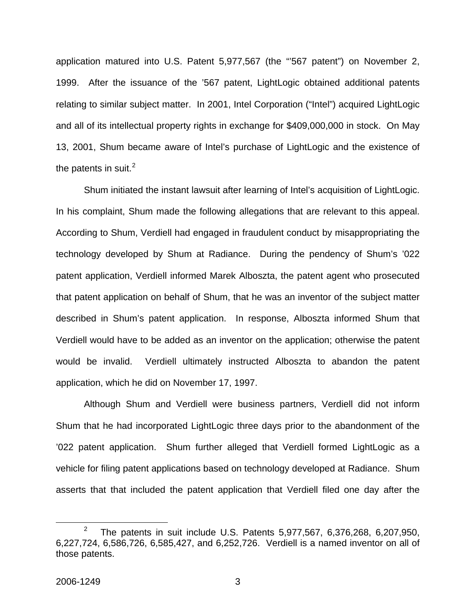application matured into U.S. Patent 5,977,567 (the "'567 patent") on November 2, 1999. After the issuance of the '567 patent, LightLogic obtained additional patents relating to similar subject matter. In 2001, Intel Corporation ("Intel") acquired LightLogic and all of its intellectual property rights in exchange for \$409,000,000 in stock. On May 13, 2001, Shum became aware of Intel's purchase of LightLogic and the existence of the patents in suit.<sup>[2](#page-3-0)</sup>

Shum initiated the instant lawsuit after learning of Intel's acquisition of LightLogic. In his complaint, Shum made the following allegations that are relevant to this appeal. According to Shum, Verdiell had engaged in fraudulent conduct by misappropriating the technology developed by Shum at Radiance. During the pendency of Shum's '022 patent application, Verdiell informed Marek Alboszta, the patent agent who prosecuted that patent application on behalf of Shum, that he was an inventor of the subject matter described in Shum's patent application. In response, Alboszta informed Shum that Verdiell would have to be added as an inventor on the application; otherwise the patent would be invalid. Verdiell ultimately instructed Alboszta to abandon the patent application, which he did on November 17, 1997.

Although Shum and Verdiell were business partners, Verdiell did not inform Shum that he had incorporated LightLogic three days prior to the abandonment of the '022 patent application. Shum further alleged that Verdiell formed LightLogic as a vehicle for filing patent applications based on technology developed at Radiance. Shum asserts that that included the patent application that Verdiell filed one day after the

<span id="page-3-0"></span> $\frac{1}{2}$ <sup>2</sup> The patents in suit include U.S. Patents 5,977,567, 6,376,268, 6,207,950, 6,227,724, 6,586,726, 6,585,427, and 6,252,726. Verdiell is a named inventor on all of those patents.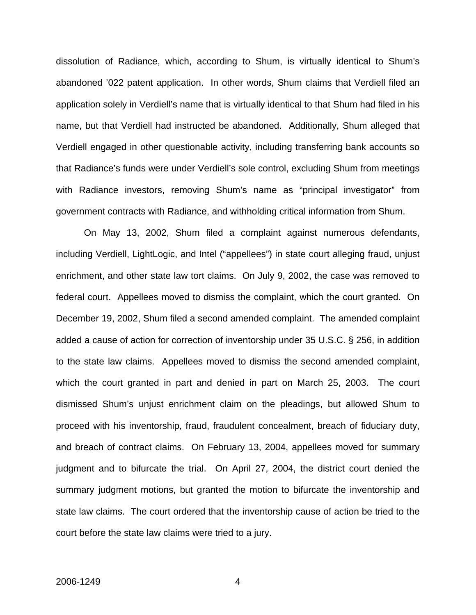dissolution of Radiance, which, according to Shum, is virtually identical to Shum's abandoned '022 patent application. In other words, Shum claims that Verdiell filed an application solely in Verdiell's name that is virtually identical to that Shum had filed in his name, but that Verdiell had instructed be abandoned. Additionally, Shum alleged that Verdiell engaged in other questionable activity, including transferring bank accounts so that Radiance's funds were under Verdiell's sole control, excluding Shum from meetings with Radiance investors, removing Shum's name as "principal investigator" from government contracts with Radiance, and withholding critical information from Shum.

On May 13, 2002, Shum filed a complaint against numerous defendants, including Verdiell, LightLogic, and Intel ("appellees") in state court alleging fraud, unjust enrichment, and other state law tort claims. On July 9, 2002, the case was removed to federal court. Appellees moved to dismiss the complaint, which the court granted. On December 19, 2002, Shum filed a second amended complaint. The amended complaint added a cause of action for correction of inventorship under 35 U.S.C. § 256, in addition to the state law claims. Appellees moved to dismiss the second amended complaint, which the court granted in part and denied in part on March 25, 2003. The court dismissed Shum's unjust enrichment claim on the pleadings, but allowed Shum to proceed with his inventorship, fraud, fraudulent concealment, breach of fiduciary duty, and breach of contract claims. On February 13, 2004, appellees moved for summary judgment and to bifurcate the trial. On April 27, 2004, the district court denied the summary judgment motions, but granted the motion to bifurcate the inventorship and state law claims. The court ordered that the inventorship cause of action be tried to the court before the state law claims were tried to a jury.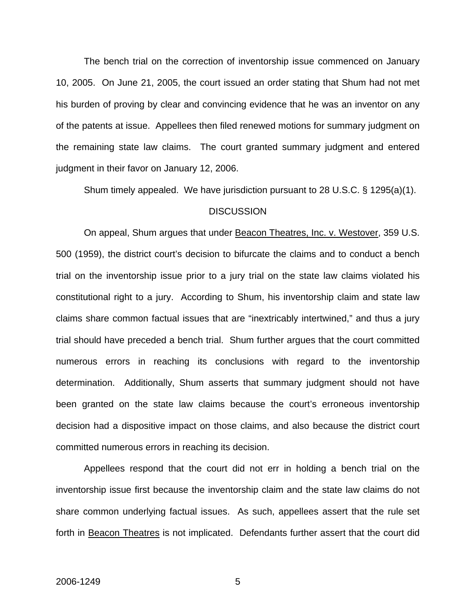The bench trial on the correction of inventorship issue commenced on January 10, 2005. On June 21, 2005, the court issued an order stating that Shum had not met his burden of proving by clear and convincing evidence that he was an inventor on any of the patents at issue. Appellees then filed renewed motions for summary judgment on the remaining state law claims. The court granted summary judgment and entered judgment in their favor on January 12, 2006.

Shum timely appealed. We have jurisdiction pursuant to 28 U.S.C. § 1295(a)(1).

#### **DISCUSSION**

On appeal, Shum argues that under Beacon Theatres, Inc. v. Westover, 359 U.S. 500 (1959), the district court's decision to bifurcate the claims and to conduct a bench trial on the inventorship issue prior to a jury trial on the state law claims violated his constitutional right to a jury. According to Shum, his inventorship claim and state law claims share common factual issues that are "inextricably intertwined," and thus a jury trial should have preceded a bench trial. Shum further argues that the court committed numerous errors in reaching its conclusions with regard to the inventorship determination. Additionally, Shum asserts that summary judgment should not have been granted on the state law claims because the court's erroneous inventorship decision had a dispositive impact on those claims, and also because the district court committed numerous errors in reaching its decision.

Appellees respond that the court did not err in holding a bench trial on the inventorship issue first because the inventorship claim and the state law claims do not share common underlying factual issues. As such, appellees assert that the rule set forth in Beacon Theatres is not implicated. Defendants further assert that the court did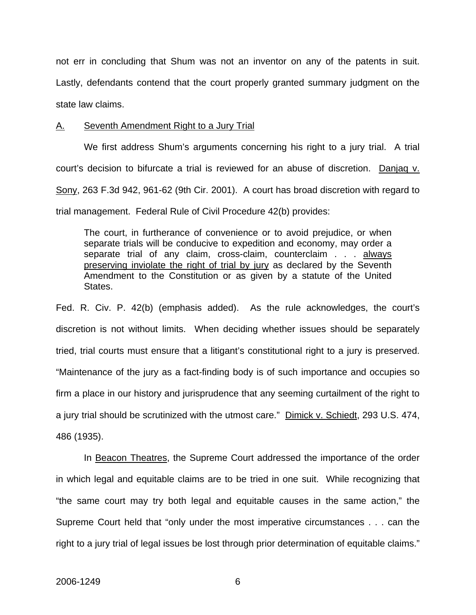not err in concluding that Shum was not an inventor on any of the patents in suit. Lastly, defendants contend that the court properly granted summary judgment on the state law claims.

### A. Seventh Amendment Right to a Jury Trial

We first address Shum's arguments concerning his right to a jury trial. A trial court's decision to bifurcate a trial is reviewed for an abuse of discretion. Danjaq v. Sony, 263 F.3d 942, 961-62 (9th Cir. 2001). A court has broad discretion with regard to trial management. Federal Rule of Civil Procedure 42(b) provides:

The court, in furtherance of convenience or to avoid prejudice, or when separate trials will be conducive to expedition and economy, may order a separate trial of any claim, cross-claim, counterclaim . . . always preserving inviolate the right of trial by jury as declared by the Seventh Amendment to the Constitution or as given by a statute of the United States.

Fed. R. Civ. P. 42(b) (emphasis added). As the rule acknowledges, the court's discretion is not without limits. When deciding whether issues should be separately tried, trial courts must ensure that a litigant's constitutional right to a jury is preserved. "Maintenance of the jury as a fact-finding body is of such importance and occupies so firm a place in our history and jurisprudence that any seeming curtailment of the right to a jury trial should be scrutinized with the utmost care." Dimick v. Schiedt, 293 U.S. 474, 486 (1935).

In Beacon Theatres, the Supreme Court addressed the importance of the order in which legal and equitable claims are to be tried in one suit. While recognizing that "the same court may try both legal and equitable causes in the same action," the Supreme Court held that "only under the most imperative circumstances . . . can the right to a jury trial of legal issues be lost through prior determination of equitable claims."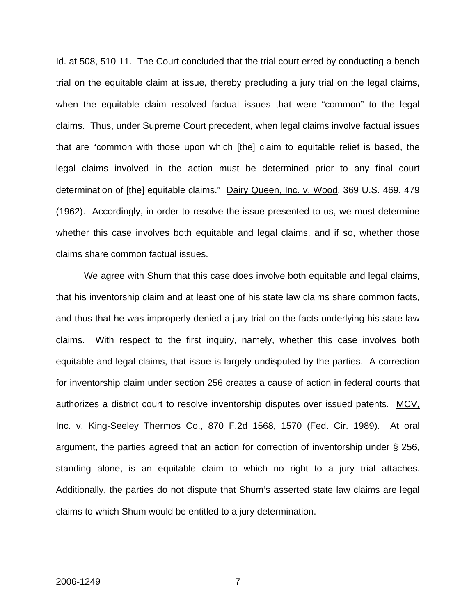Id. at 508, 510-11. The Court concluded that the trial court erred by conducting a bench trial on the equitable claim at issue, thereby precluding a jury trial on the legal claims, when the equitable claim resolved factual issues that were "common" to the legal claims. Thus, under Supreme Court precedent, when legal claims involve factual issues that are "common with those upon which [the] claim to equitable relief is based, the legal claims involved in the action must be determined prior to any final court determination of [the] equitable claims." Dairy Queen, Inc. v. Wood, 369 U.S. 469, 479 (1962). Accordingly, in order to resolve the issue presented to us, we must determine whether this case involves both equitable and legal claims, and if so, whether those claims share common factual issues.

We agree with Shum that this case does involve both equitable and legal claims, that his inventorship claim and at least one of his state law claims share common facts, and thus that he was improperly denied a jury trial on the facts underlying his state law claims. With respect to the first inquiry, namely, whether this case involves both equitable and legal claims, that issue is largely undisputed by the parties. A correction for inventorship claim under section 256 creates a cause of action in federal courts that authorizes a district court to resolve inventorship disputes over issued patents. MCV, Inc. v. King-Seeley Thermos Co., 870 F.2d 1568, 1570 (Fed. Cir. 1989). At oral argument, the parties agreed that an action for correction of inventorship under § 256, standing alone, is an equitable claim to which no right to a jury trial attaches. Additionally, the parties do not dispute that Shum's asserted state law claims are legal claims to which Shum would be entitled to a jury determination.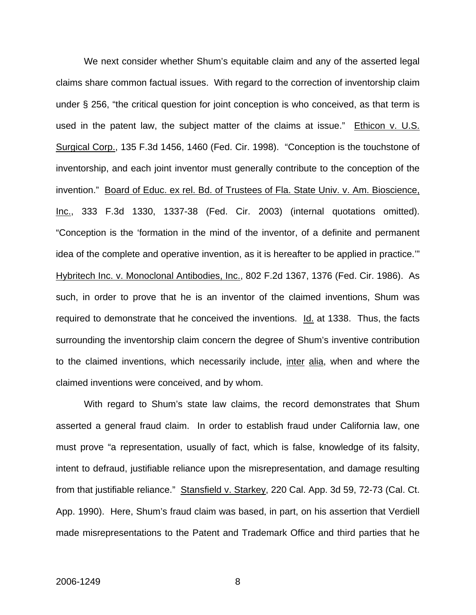We next consider whether Shum's equitable claim and any of the asserted legal claims share common factual issues. With regard to the correction of inventorship claim under § 256, "the critical question for joint conception is who conceived, as that term is used in the patent law, the subject matter of the claims at issue." Ethicon v. U.S. Surgical Corp., 135 F.3d 1456, 1460 (Fed. Cir. 1998). "Conception is the touchstone of inventorship, and each joint inventor must generally contribute to the conception of the invention." Board of Educ. ex rel. Bd. of Trustees of Fla. State Univ. v. Am. Bioscience, Inc., 333 F.3d 1330, 1337-38 (Fed. Cir. 2003) (internal quotations omitted). "Conception is the 'formation in the mind of the inventor, of a definite and permanent idea of the complete and operative invention, as it is hereafter to be applied in practice.'" Hybritech Inc. v. Monoclonal Antibodies, Inc., 802 F.2d 1367, 1376 (Fed. Cir. 1986). As such, in order to prove that he is an inventor of the claimed inventions, Shum was required to demonstrate that he conceived the inventions. Id. at 1338. Thus, the facts surrounding the inventorship claim concern the degree of Shum's inventive contribution to the claimed inventions, which necessarily include, inter alia, when and where the claimed inventions were conceived, and by whom.

With regard to Shum's state law claims, the record demonstrates that Shum asserted a general fraud claim. In order to establish fraud under California law, one must prove "a representation, usually of fact, which is false, knowledge of its falsity, intent to defraud, justifiable reliance upon the misrepresentation, and damage resulting from that justifiable reliance." Stansfield v. Starkey, 220 Cal. App. 3d 59, 72-73 (Cal. Ct. App. 1990). Here, Shum's fraud claim was based, in part, on his assertion that Verdiell made misrepresentations to the Patent and Trademark Office and third parties that he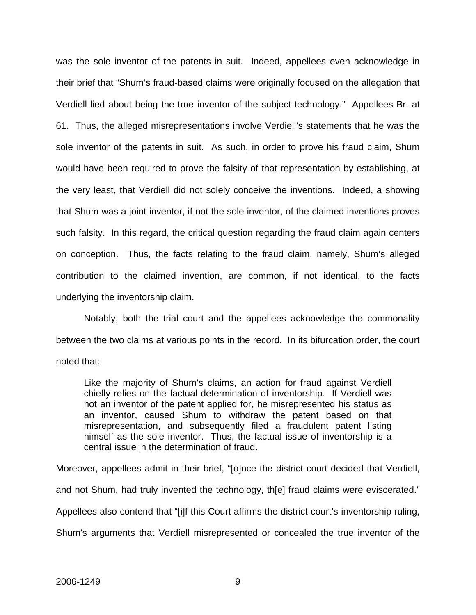was the sole inventor of the patents in suit. Indeed, appellees even acknowledge in their brief that "Shum's fraud-based claims were originally focused on the allegation that Verdiell lied about being the true inventor of the subject technology." Appellees Br. at 61. Thus, the alleged misrepresentations involve Verdiell's statements that he was the sole inventor of the patents in suit. As such, in order to prove his fraud claim, Shum would have been required to prove the falsity of that representation by establishing, at the very least, that Verdiell did not solely conceive the inventions. Indeed, a showing that Shum was a joint inventor, if not the sole inventor, of the claimed inventions proves such falsity. In this regard, the critical question regarding the fraud claim again centers on conception. Thus, the facts relating to the fraud claim, namely, Shum's alleged contribution to the claimed invention, are common, if not identical, to the facts underlying the inventorship claim.

Notably, both the trial court and the appellees acknowledge the commonality between the two claims at various points in the record. In its bifurcation order, the court noted that:

Like the majority of Shum's claims, an action for fraud against Verdiell chiefly relies on the factual determination of inventorship. If Verdiell was not an inventor of the patent applied for, he misrepresented his status as an inventor, caused Shum to withdraw the patent based on that misrepresentation, and subsequently filed a fraudulent patent listing himself as the sole inventor. Thus, the factual issue of inventorship is a central issue in the determination of fraud.

Moreover, appellees admit in their brief, "[o]nce the district court decided that Verdiell, and not Shum, had truly invented the technology, th[e] fraud claims were eviscerated." Appellees also contend that "[i]f this Court affirms the district court's inventorship ruling, Shum's arguments that Verdiell misrepresented or concealed the true inventor of the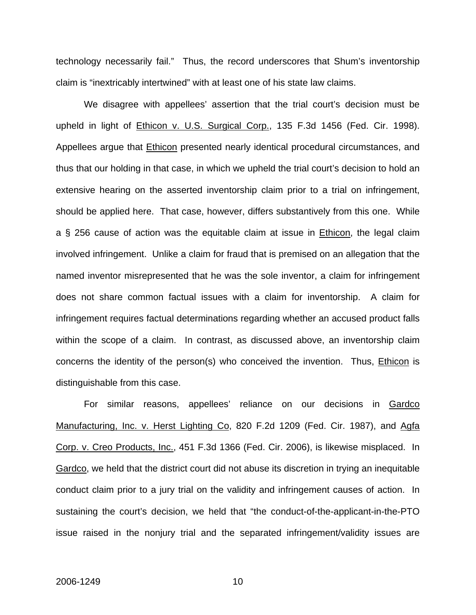technology necessarily fail." Thus, the record underscores that Shum's inventorship claim is "inextricably intertwined" with at least one of his state law claims.

 We disagree with appellees' assertion that the trial court's decision must be upheld in light of Ethicon v. U.S. Surgical Corp., 135 F.3d 1456 (Fed. Cir. 1998). Appellees argue that Ethicon presented nearly identical procedural circumstances, and thus that our holding in that case, in which we upheld the trial court's decision to hold an extensive hearing on the asserted inventorship claim prior to a trial on infringement, should be applied here. That case, however, differs substantively from this one. While a § 256 cause of action was the equitable claim at issue in Ethicon, the legal claim involved infringement. Unlike a claim for fraud that is premised on an allegation that the named inventor misrepresented that he was the sole inventor, a claim for infringement does not share common factual issues with a claim for inventorship. A claim for infringement requires factual determinations regarding whether an accused product falls within the scope of a claim. In contrast, as discussed above, an inventorship claim concerns the identity of the person(s) who conceived the invention. Thus, Ethicon is distinguishable from this case.

For similar reasons, appellees' reliance on our decisions in Gardco Manufacturing, Inc. v. Herst Lighting Co, 820 F.2d 1209 (Fed. Cir. 1987), and Agfa Corp. v. Creo Products, Inc., 451 F.3d 1366 (Fed. Cir. 2006), is likewise misplaced. In Gardco, we held that the district court did not abuse its discretion in trying an inequitable conduct claim prior to a jury trial on the validity and infringement causes of action. In sustaining the court's decision, we held that "the conduct-of-the-applicant-in-the-PTO issue raised in the nonjury trial and the separated infringement/validity issues are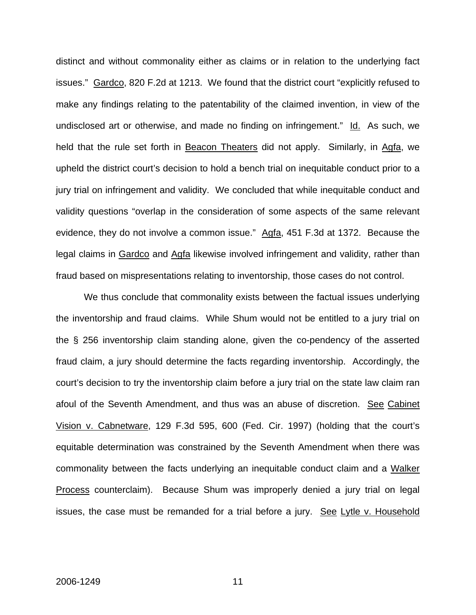distinct and without commonality either as claims or in relation to the underlying fact issues." Gardco, 820 F.2d at 1213. We found that the district court "explicitly refused to make any findings relating to the patentability of the claimed invention, in view of the undisclosed art or otherwise, and made no finding on infringement." Id. As such, we held that the rule set forth in Beacon Theaters did not apply. Similarly, in Agfa, we upheld the district court's decision to hold a bench trial on inequitable conduct prior to a jury trial on infringement and validity. We concluded that while inequitable conduct and validity questions "overlap in the consideration of some aspects of the same relevant evidence, they do not involve a common issue." Agfa, 451 F.3d at 1372. Because the legal claims in Gardco and Agfa likewise involved infringement and validity, rather than fraud based on mispresentations relating to inventorship, those cases do not control.

We thus conclude that commonality exists between the factual issues underlying the inventorship and fraud claims. While Shum would not be entitled to a jury trial on the § 256 inventorship claim standing alone, given the co-pendency of the asserted fraud claim, a jury should determine the facts regarding inventorship. Accordingly, the court's decision to try the inventorship claim before a jury trial on the state law claim ran afoul of the Seventh Amendment, and thus was an abuse of discretion. See Cabinet Vision v. Cabnetware, 129 F.3d 595, 600 (Fed. Cir. 1997) (holding that the court's equitable determination was constrained by the Seventh Amendment when there was commonality between the facts underlying an inequitable conduct claim and a Walker Process counterclaim). Because Shum was improperly denied a jury trial on legal issues, the case must be remanded for a trial before a jury. See Lytle v. Household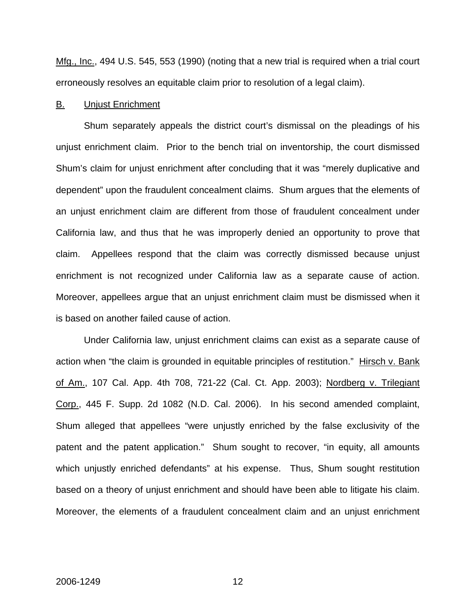Mfg., Inc., 494 U.S. 545, 553 (1990) (noting that a new trial is required when a trial court erroneously resolves an equitable claim prior to resolution of a legal claim).

### B. Unjust Enrichment

 Shum separately appeals the district court's dismissal on the pleadings of his unjust enrichment claim. Prior to the bench trial on inventorship, the court dismissed Shum's claim for unjust enrichment after concluding that it was "merely duplicative and dependent" upon the fraudulent concealment claims. Shum argues that the elements of an unjust enrichment claim are different from those of fraudulent concealment under California law, and thus that he was improperly denied an opportunity to prove that claim. Appellees respond that the claim was correctly dismissed because unjust enrichment is not recognized under California law as a separate cause of action. Moreover, appellees argue that an unjust enrichment claim must be dismissed when it is based on another failed cause of action.

 Under California law, unjust enrichment claims can exist as a separate cause of action when "the claim is grounded in equitable principles of restitution." Hirsch v. Bank of Am., 107 Cal. App. 4th 708, 721-22 (Cal. Ct. App. 2003); Nordberg v. Trilegiant Corp., 445 F. Supp. 2d 1082 (N.D. Cal. 2006). In his second amended complaint, Shum alleged that appellees "were unjustly enriched by the false exclusivity of the patent and the patent application." Shum sought to recover, "in equity, all amounts which unjustly enriched defendants" at his expense. Thus, Shum sought restitution based on a theory of unjust enrichment and should have been able to litigate his claim. Moreover, the elements of a fraudulent concealment claim and an unjust enrichment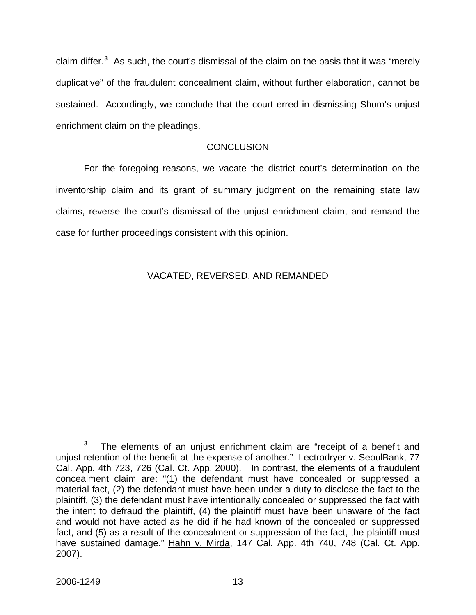claim differ.<sup>[3](#page-13-0)</sup> As such, the court's dismissal of the claim on the basis that it was "merely duplicative" of the fraudulent concealment claim, without further elaboration, cannot be sustained. Accordingly, we conclude that the court erred in dismissing Shum's unjust enrichment claim on the pleadings.

## **CONCLUSION**

For the foregoing reasons, we vacate the district court's determination on the inventorship claim and its grant of summary judgment on the remaining state law claims, reverse the court's dismissal of the unjust enrichment claim, and remand the case for further proceedings consistent with this opinion.

## VACATED, REVERSED, AND REMANDED

<span id="page-13-0"></span> $\overline{\phantom{a}}$  3  $3$  The elements of an unjust enrichment claim are "receipt of a benefit and unjust retention of the benefit at the expense of another." Lectrodryer v. SeoulBank, 77 Cal. App. 4th 723, 726 (Cal. Ct. App. 2000). In contrast, the elements of a fraudulent concealment claim are: "(1) the defendant must have concealed or suppressed a material fact, (2) the defendant must have been under a duty to disclose the fact to the plaintiff, (3) the defendant must have intentionally concealed or suppressed the fact with the intent to defraud the plaintiff, (4) the plaintiff must have been unaware of the fact and would not have acted as he did if he had known of the concealed or suppressed fact, and (5) as a result of the concealment or suppression of the fact, the plaintiff must have sustained damage." Hahn v. Mirda, 147 Cal. App. 4th 740, 748 (Cal. Ct. App. 2007).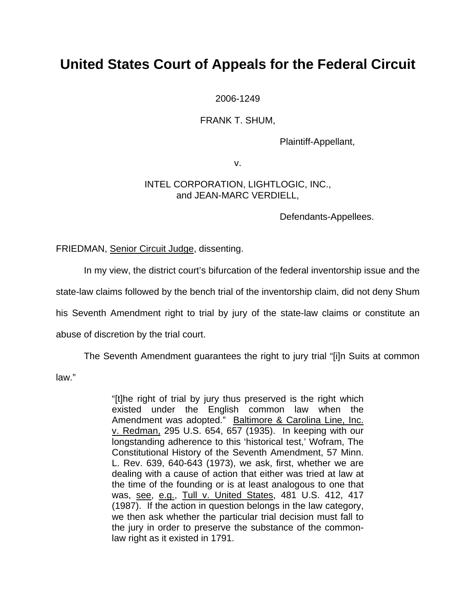# **United States Court of Appeals for the Federal Circuit**

2006-1249

FRANK T. SHUM,

Plaintiff-Appellant,

v.

## INTEL CORPORATION, LIGHTLOGIC, INC., and JEAN-MARC VERDIELL,

Defendants-Appellees.

FRIEDMAN, Senior Circuit Judge, dissenting.

In my view, the district court's bifurcation of the federal inventorship issue and the

state-law claims followed by the bench trial of the inventorship claim, did not deny Shum

his Seventh Amendment right to trial by jury of the state-law claims or constitute an

abuse of discretion by the trial court.

The Seventh Amendment guarantees the right to jury trial "[i]n Suits at common

law."

"[t]he right of trial by jury thus preserved is the right which existed under the English common law when the Amendment was adopted." Baltimore & Carolina Line, Inc. v. Redman, 295 U.S. 654, 657 (1935). In keeping with our longstanding adherence to this 'historical test,' Wofram, The Constitutional History of the Seventh Amendment, 57 Minn. L. Rev. 639, 640-643 (1973), we ask, first, whether we are dealing with a cause of action that either was tried at law at the time of the founding or is at least analogous to one that was, see, e.g., Tull v. United States, 481 U.S. 412, 417 (1987). If the action in question belongs in the law category, we then ask whether the particular trial decision must fall to the jury in order to preserve the substance of the commonlaw right as it existed in 1791.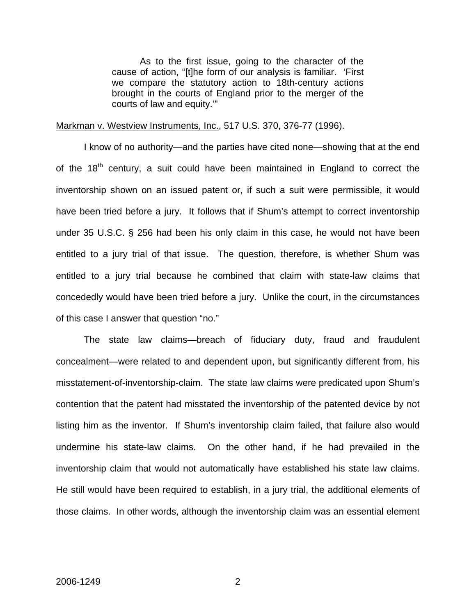As to the first issue, going to the character of the cause of action, "[t]he form of our analysis is familiar. 'First we compare the statutory action to 18th-century actions brought in the courts of England prior to the merger of the courts of law and equity.'"

#### Markman v. Westview Instruments, Inc., 517 U.S. 370, 376-77 (1996).

 I know of no authority—and the parties have cited none—showing that at the end of the  $18<sup>th</sup>$  century, a suit could have been maintained in England to correct the inventorship shown on an issued patent or, if such a suit were permissible, it would have been tried before a jury. It follows that if Shum's attempt to correct inventorship under 35 U.S.C. § 256 had been his only claim in this case, he would not have been entitled to a jury trial of that issue. The question, therefore, is whether Shum was entitled to a jury trial because he combined that claim with state-law claims that concededly would have been tried before a jury. Unlike the court, in the circumstances of this case I answer that question "no."

 The state law claims—breach of fiduciary duty, fraud and fraudulent concealment—were related to and dependent upon, but significantly different from, his misstatement-of-inventorship-claim. The state law claims were predicated upon Shum's contention that the patent had misstated the inventorship of the patented device by not listing him as the inventor. If Shum's inventorship claim failed, that failure also would undermine his state-law claims. On the other hand, if he had prevailed in the inventorship claim that would not automatically have established his state law claims. He still would have been required to establish, in a jury trial, the additional elements of those claims. In other words, although the inventorship claim was an essential element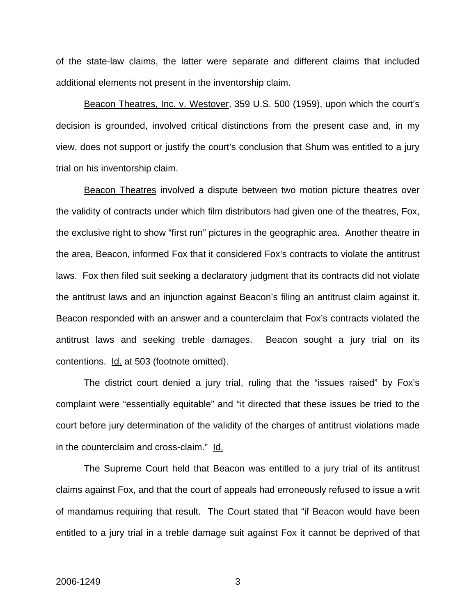of the state-law claims, the latter were separate and different claims that included additional elements not present in the inventorship claim.

Beacon Theatres, Inc. v. Westover, 359 U.S. 500 (1959), upon which the court's decision is grounded, involved critical distinctions from the present case and, in my view, does not support or justify the court's conclusion that Shum was entitled to a jury trial on his inventorship claim.

Beacon Theatres involved a dispute between two motion picture theatres over the validity of contracts under which film distributors had given one of the theatres, Fox, the exclusive right to show "first run" pictures in the geographic area. Another theatre in the area, Beacon, informed Fox that it considered Fox's contracts to violate the antitrust laws. Fox then filed suit seeking a declaratory judgment that its contracts did not violate the antitrust laws and an injunction against Beacon's filing an antitrust claim against it. Beacon responded with an answer and a counterclaim that Fox's contracts violated the antitrust laws and seeking treble damages. Beacon sought a jury trial on its contentions. Id. at 503 (footnote omitted).

The district court denied a jury trial, ruling that the "issues raised" by Fox's complaint were "essentially equitable" and "it directed that these issues be tried to the court before jury determination of the validity of the charges of antitrust violations made in the counterclaim and cross-claim." Id.

 The Supreme Court held that Beacon was entitled to a jury trial of its antitrust claims against Fox, and that the court of appeals had erroneously refused to issue a writ of mandamus requiring that result. The Court stated that "if Beacon would have been entitled to a jury trial in a treble damage suit against Fox it cannot be deprived of that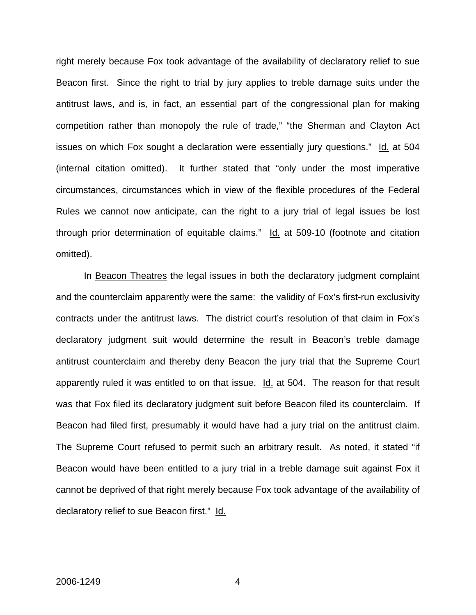right merely because Fox took advantage of the availability of declaratory relief to sue Beacon first. Since the right to trial by jury applies to treble damage suits under the antitrust laws, and is, in fact, an essential part of the congressional plan for making competition rather than monopoly the rule of trade," "the Sherman and Clayton Act issues on which Fox sought a declaration were essentially jury questions." Id. at 504 (internal citation omitted). It further stated that "only under the most imperative circumstances, circumstances which in view of the flexible procedures of the Federal Rules we cannot now anticipate, can the right to a jury trial of legal issues be lost through prior determination of equitable claims." Id. at 509-10 (footnote and citation omitted).

In Beacon Theatres the legal issues in both the declaratory judgment complaint and the counterclaim apparently were the same: the validity of Fox's first-run exclusivity contracts under the antitrust laws. The district court's resolution of that claim in Fox's declaratory judgment suit would determine the result in Beacon's treble damage antitrust counterclaim and thereby deny Beacon the jury trial that the Supreme Court apparently ruled it was entitled to on that issue. Id. at 504. The reason for that result was that Fox filed its declaratory judgment suit before Beacon filed its counterclaim. If Beacon had filed first, presumably it would have had a jury trial on the antitrust claim. The Supreme Court refused to permit such an arbitrary result. As noted, it stated "if Beacon would have been entitled to a jury trial in a treble damage suit against Fox it cannot be deprived of that right merely because Fox took advantage of the availability of declaratory relief to sue Beacon first." Id.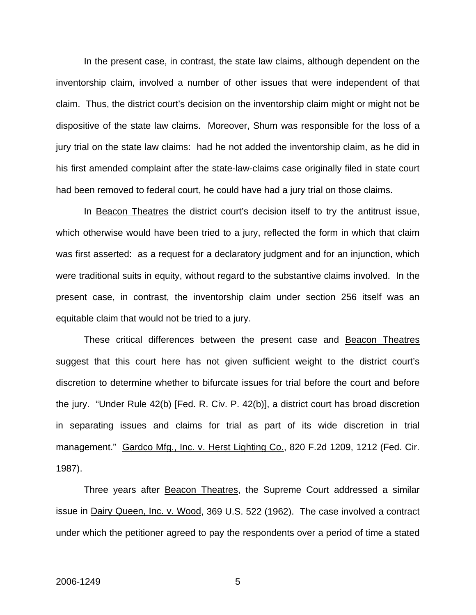In the present case, in contrast, the state law claims, although dependent on the inventorship claim, involved a number of other issues that were independent of that claim. Thus, the district court's decision on the inventorship claim might or might not be dispositive of the state law claims. Moreover, Shum was responsible for the loss of a jury trial on the state law claims: had he not added the inventorship claim, as he did in his first amended complaint after the state-law-claims case originally filed in state court had been removed to federal court, he could have had a jury trial on those claims.

In Beacon Theatres the district court's decision itself to try the antitrust issue, which otherwise would have been tried to a jury, reflected the form in which that claim was first asserted: as a request for a declaratory judgment and for an injunction, which were traditional suits in equity, without regard to the substantive claims involved. In the present case, in contrast, the inventorship claim under section 256 itself was an equitable claim that would not be tried to a jury.

These critical differences between the present case and Beacon Theatres suggest that this court here has not given sufficient weight to the district court's discretion to determine whether to bifurcate issues for trial before the court and before the jury. "Under Rule 42(b) [Fed. R. Civ. P. 42(b)], a district court has broad discretion in separating issues and claims for trial as part of its wide discretion in trial management." Gardco Mfg., Inc. v. Herst Lighting Co., 820 F.2d 1209, 1212 (Fed. Cir. 1987).

Three years after **Beacon Theatres**, the Supreme Court addressed a similar issue in Dairy Queen, Inc. v. Wood, 369 U.S. 522 (1962). The case involved a contract under which the petitioner agreed to pay the respondents over a period of time a stated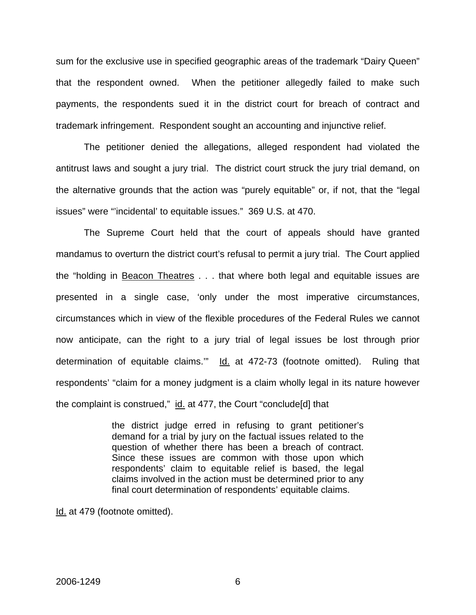sum for the exclusive use in specified geographic areas of the trademark "Dairy Queen" that the respondent owned. When the petitioner allegedly failed to make such payments, the respondents sued it in the district court for breach of contract and trademark infringement. Respondent sought an accounting and injunctive relief.

The petitioner denied the allegations, alleged respondent had violated the antitrust laws and sought a jury trial. The district court struck the jury trial demand, on the alternative grounds that the action was "purely equitable" or, if not, that the "legal issues" were "'incidental' to equitable issues." 369 U.S. at 470.

The Supreme Court held that the court of appeals should have granted mandamus to overturn the district court's refusal to permit a jury trial. The Court applied the "holding in Beacon Theatres . . . that where both legal and equitable issues are presented in a single case, 'only under the most imperative circumstances, circumstances which in view of the flexible procedures of the Federal Rules we cannot now anticipate, can the right to a jury trial of legal issues be lost through prior determination of equitable claims." Id. at 472-73 (footnote omitted). Ruling that respondents' "claim for a money judgment is a claim wholly legal in its nature however the complaint is construed," id. at 477, the Court "conclude[d] that

> the district judge erred in refusing to grant petitioner's demand for a trial by jury on the factual issues related to the question of whether there has been a breach of contract. Since these issues are common with those upon which respondents' claim to equitable relief is based, the legal claims involved in the action must be determined prior to any final court determination of respondents' equitable claims.

Id. at 479 (footnote omitted).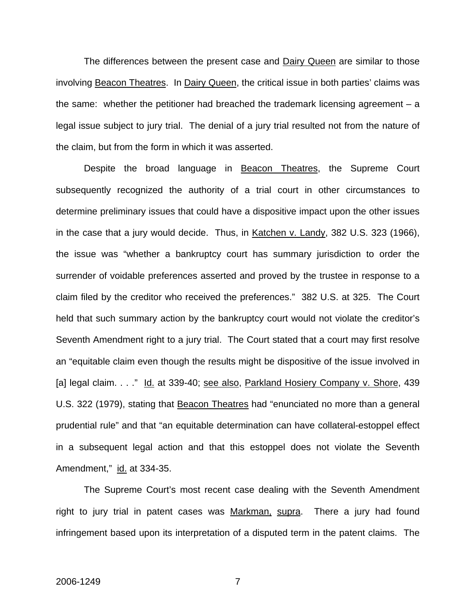The differences between the present case and **Dairy Queen** are similar to those involving Beacon Theatres. In Dairy Queen, the critical issue in both parties' claims was the same: whether the petitioner had breached the trademark licensing agreement  $- a$ legal issue subject to jury trial. The denial of a jury trial resulted not from the nature of the claim, but from the form in which it was asserted.

Despite the broad language in Beacon Theatres, the Supreme Court subsequently recognized the authority of a trial court in other circumstances to determine preliminary issues that could have a dispositive impact upon the other issues in the case that a jury would decide. Thus, in Katchen v. Landy, 382 U.S. 323 (1966), the issue was "whether a bankruptcy court has summary jurisdiction to order the surrender of voidable preferences asserted and proved by the trustee in response to a claim filed by the creditor who received the preferences." 382 U.S. at 325. The Court held that such summary action by the bankruptcy court would not violate the creditor's Seventh Amendment right to a jury trial. The Court stated that a court may first resolve an "equitable claim even though the results might be dispositive of the issue involved in [a] legal claim. . . ." Id. at 339-40; see also, Parkland Hosiery Company v. Shore, 439 U.S. 322 (1979), stating that Beacon Theatres had "enunciated no more than a general prudential rule" and that "an equitable determination can have collateral-estoppel effect in a subsequent legal action and that this estoppel does not violate the Seventh Amendment," id. at 334-35.

 The Supreme Court's most recent case dealing with the Seventh Amendment right to jury trial in patent cases was Markman, supra. There a jury had found infringement based upon its interpretation of a disputed term in the patent claims. The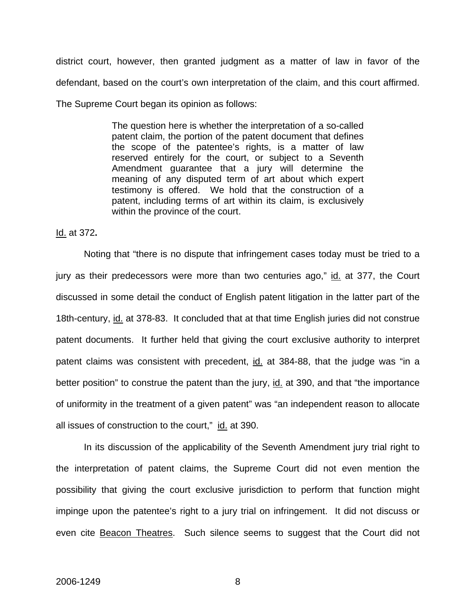district court, however, then granted judgment as a matter of law in favor of the defendant, based on the court's own interpretation of the claim, and this court affirmed. The Supreme Court began its opinion as follows:

> The question here is whether the interpretation of a so-called patent claim, the portion of the patent document that defines the scope of the patentee's rights, is a matter of law reserved entirely for the court, or subject to a Seventh Amendment guarantee that a jury will determine the meaning of any disputed term of art about which expert testimony is offered. We hold that the construction of a patent, including terms of art within its claim, is exclusively within the province of the court.

Id. at 372**.** 

 Noting that "there is no dispute that infringement cases today must be tried to a jury as their predecessors were more than two centuries ago," id. at 377, the Court discussed in some detail the conduct of English patent litigation in the latter part of the 18th-century, id. at 378-83. It concluded that at that time English juries did not construe patent documents. It further held that giving the court exclusive authority to interpret patent claims was consistent with precedent, id. at 384-88, that the judge was "in a better position" to construe the patent than the jury, id. at 390, and that "the importance of uniformity in the treatment of a given patent" was "an independent reason to allocate all issues of construction to the court," id. at 390.

 In its discussion of the applicability of the Seventh Amendment jury trial right to the interpretation of patent claims, the Supreme Court did not even mention the possibility that giving the court exclusive jurisdiction to perform that function might impinge upon the patentee's right to a jury trial on infringement. It did not discuss or even cite Beacon Theatres. Such silence seems to suggest that the Court did not